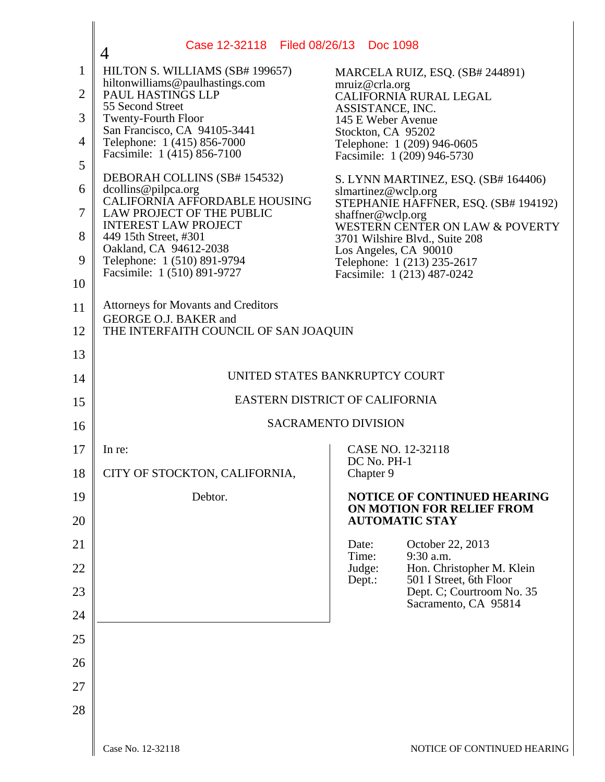|                | Case 12-32118 Filed 08/26/13 Doc 1098<br>4                          |                                                                          |  |
|----------------|---------------------------------------------------------------------|--------------------------------------------------------------------------|--|
| $\mathbf{1}$   | HILTON S. WILLIAMS (SB# 199657)<br>hiltonwilliams@paulhastings.com  | MARCELA RUIZ, ESQ. (SB# 244891)                                          |  |
| $\overline{2}$ | PAUL HASTINGS LLP<br>55 Second Street                               | mruiz@crla.org<br>CALIFORNIA RURAL LEGAL                                 |  |
| 3              | <b>Twenty-Fourth Floor</b>                                          | ASSISTANCE, INC.<br>145 E Weber Avenue                                   |  |
| 4              | San Francisco, CA 94105-3441<br>Telephone: 1 (415) 856-7000         | Stockton, CA 95202<br>Telephone: 1 (209) 946-0605                        |  |
| 5              | Facsimile: 1 (415) 856-7100                                         | Facsimile: 1 (209) 946-5730                                              |  |
| 6              | DEBORAH COLLINS (SB# 154532)<br>dcollins@pilpca.org                 | S. LYNN MARTINEZ, ESQ. (SB# 164406)<br>slmartinez@wclp.org               |  |
| 7              | CALIFORNIA AFFORDABLE HOUSING<br>LAW PROJECT OF THE PUBLIC          | STEPHANIE HAFFNER, ESQ. (SB# 194192)<br>shaffner@wclp.org                |  |
| 8              | <b>INTEREST LAW PROJECT</b><br>449 15th Street, #301                | WESTERN CENTER ON LAW & POVERTY<br>3701 Wilshire Blvd., Suite 208        |  |
| 9              | Oakland, CA 94612-2038<br>Telephone: 1 (510) 891-9794               | Los Angeles, CA 90010<br>Telephone: 1 (213) 235-2617                     |  |
| 10             | Facsimile: 1 (510) 891-9727                                         | Facsimile: 1 (213) 487-0242                                              |  |
| 11             | <b>Attorneys for Movants and Creditors</b><br>GEORGE O.J. BAKER and |                                                                          |  |
| 12             | THE INTERFAITH COUNCIL OF SAN JOAQUIN                               |                                                                          |  |
| 13             |                                                                     |                                                                          |  |
| 14             | UNITED STATES BANKRUPTCY COURT                                      |                                                                          |  |
| 15             | EASTERN DISTRICT OF CALIFORNIA                                      |                                                                          |  |
| 16             | <b>SACRAMENTO DIVISION</b>                                          |                                                                          |  |
| 17             | In re:                                                              | CASE NO. 12-32118<br>DC No. PH-1                                         |  |
| 18             | CITY OF STOCKTON, CALIFORNIA,                                       | Chapter 9                                                                |  |
| 19             | Debtor.                                                             | NOTICE OF CONTINUED HEARING<br>ON MOTION FOR RELIEF FROM                 |  |
| 20             |                                                                     | <b>AUTOMATIC STAY</b>                                                    |  |
| 21             |                                                                     | October 22, 2013<br>Date:<br>Time:<br>9:30 a.m.                          |  |
| 22             |                                                                     | Hon. Christopher M. Klein<br>Judge:<br>501 I Street, 6th Floor<br>Dept.: |  |
| 23             |                                                                     | Dept. C; Courtroom No. 35<br>Sacramento, CA 95814                        |  |
| 24             |                                                                     |                                                                          |  |
| 25             |                                                                     |                                                                          |  |
| 26             |                                                                     |                                                                          |  |
| 27             |                                                                     |                                                                          |  |
| 28             |                                                                     |                                                                          |  |
|                |                                                                     |                                                                          |  |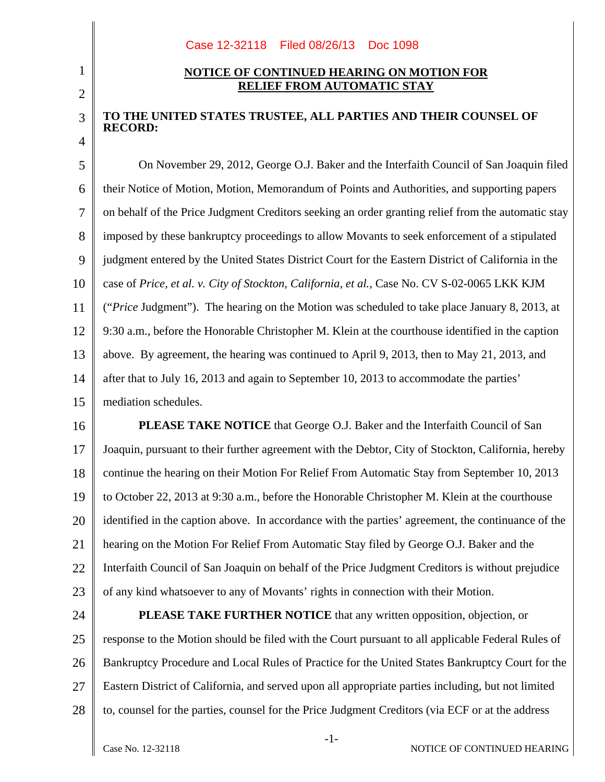## Case 12-32118 Filed 08/26/13 Doc 1098

## **NOTICE OF CONTINUED HEARING ON MOTION FOR RELIEF FROM AUTOMATIC STAY**

## **TO THE UNITED STATES TRUSTEE, ALL PARTIES AND THEIR COUNSEL OF RECORD:**

5 6 7 8 9 10 11 12 13 14 15 On November 29, 2012, George O.J. Baker and the Interfaith Council of San Joaquin filed their Notice of Motion, Motion, Memorandum of Points and Authorities, and supporting papers on behalf of the Price Judgment Creditors seeking an order granting relief from the automatic stay imposed by these bankruptcy proceedings to allow Movants to seek enforcement of a stipulated judgment entered by the United States District Court for the Eastern District of California in the case of *Price, et al. v. City of Stockton, California, et al.*, Case No. CV S-02-0065 LKK KJM ("*Price* Judgment"). The hearing on the Motion was scheduled to take place January 8, 2013, at 9:30 a.m., before the Honorable Christopher M. Klein at the courthouse identified in the caption above. By agreement, the hearing was continued to April 9, 2013, then to May 21, 2013, and after that to July 16, 2013 and again to September 10, 2013 to accommodate the parties' mediation schedules.

16 17 18 19 20 21 22 23 **PLEASE TAKE NOTICE** that George O.J. Baker and the Interfaith Council of San Joaquin, pursuant to their further agreement with the Debtor, City of Stockton, California, hereby continue the hearing on their Motion For Relief From Automatic Stay from September 10, 2013 to October 22, 2013 at 9:30 a.m., before the Honorable Christopher M. Klein at the courthouse identified in the caption above. In accordance with the parties' agreement, the continuance of the hearing on the Motion For Relief From Automatic Stay filed by George O.J. Baker and the Interfaith Council of San Joaquin on behalf of the Price Judgment Creditors is without prejudice of any kind whatsoever to any of Movants' rights in connection with their Motion.

24 25 26 27 28 **PLEASE TAKE FURTHER NOTICE** that any written opposition, objection, or response to the Motion should be filed with the Court pursuant to all applicable Federal Rules of Bankruptcy Procedure and Local Rules of Practice for the United States Bankruptcy Court for the Eastern District of California, and served upon all appropriate parties including, but not limited to, counsel for the parties, counsel for the Price Judgment Creditors (via ECF or at the address

1

2

3

4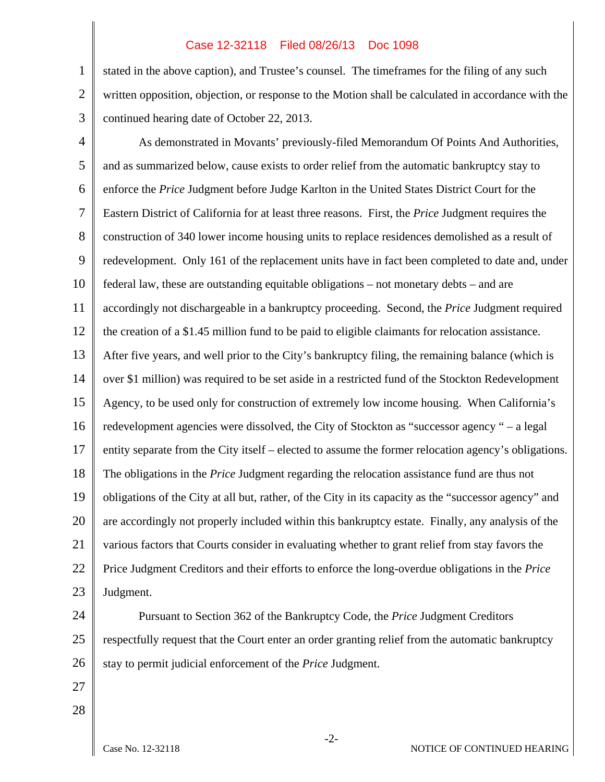## Case 12-32118 Filed 08/26/13 Doc 1098

1 2 stated in the above caption), and Trustee's counsel. The timeframes for the filing of any such written opposition, objection, or response to the Motion shall be calculated in accordance with the continued hearing date of October 22, 2013.

3

4 5 6 7 8 9 10 11 12 13 14 15 16 17 18 19 20 21 22 23 As demonstrated in Movants' previously-filed Memorandum Of Points And Authorities, and as summarized below, cause exists to order relief from the automatic bankruptcy stay to enforce the *Price* Judgment before Judge Karlton in the United States District Court for the Eastern District of California for at least three reasons. First, the *Price* Judgment requires the construction of 340 lower income housing units to replace residences demolished as a result of redevelopment. Only 161 of the replacement units have in fact been completed to date and, under federal law, these are outstanding equitable obligations – not monetary debts – and are accordingly not dischargeable in a bankruptcy proceeding. Second, the *Price* Judgment required the creation of a \$1.45 million fund to be paid to eligible claimants for relocation assistance. After five years, and well prior to the City's bankruptcy filing, the remaining balance (which is over \$1 million) was required to be set aside in a restricted fund of the Stockton Redevelopment Agency, to be used only for construction of extremely low income housing. When California's redevelopment agencies were dissolved, the City of Stockton as "successor agency " – a legal entity separate from the City itself – elected to assume the former relocation agency's obligations. The obligations in the *Price* Judgment regarding the relocation assistance fund are thus not obligations of the City at all but, rather, of the City in its capacity as the "successor agency" and are accordingly not properly included within this bankruptcy estate. Finally, any analysis of the various factors that Courts consider in evaluating whether to grant relief from stay favors the Price Judgment Creditors and their efforts to enforce the long-overdue obligations in the *Price* Judgment.

24 25 26 Pursuant to Section 362 of the Bankruptcy Code, the *Price* Judgment Creditors respectfully request that the Court enter an order granting relief from the automatic bankruptcy stay to permit judicial enforcement of the *Price* Judgment.

27